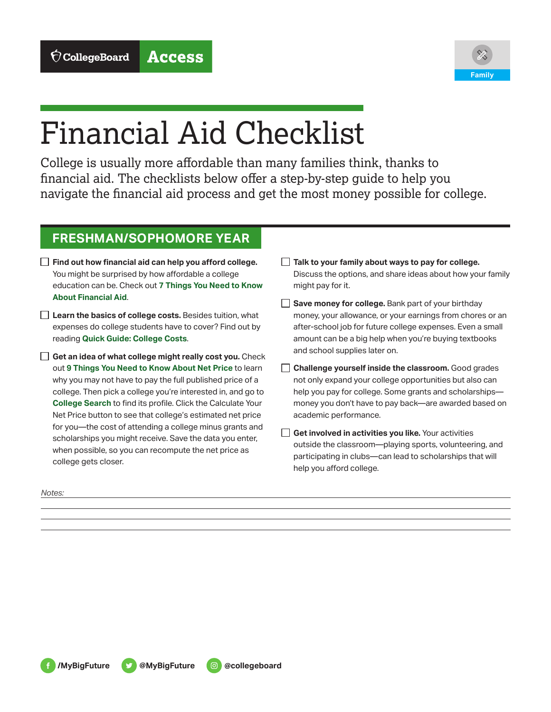

# Financial Aid Checklist

College is usually more affordable than many families think, thanks to financial aid. The checklists below offer a step-by-step guide to help you navigate the financial aid process and get the most money possible for college.

# **FRESHMAN/SOPHOMORE YEAR**

- **Find out how financial aid can help you afford college.**  You might be surprised by how affordable a college education can be. Check out **7 Things You Need to Know About Financial Aid**.
- **Learn the basics of college costs.** Besides tuition, what expenses do college students have to cover? Find out by reading **Quick Guide: College Costs**.
- **Get an idea of what college might really cost you.** Check out **9 Things You Need to Know About Net Price** to learn why you may not have to pay the full published price of a college. Then pick a college you're interested in, and go to **College Search** to find its profile. Click the Calculate Your Net Price button to see that college's estimated net price for you—the cost of attending a college minus grants and scholarships you might receive. Save the data you enter, when possible, so you can recompute the net price as college gets closer.

**Talk to your family about ways to pay for college.**  Discuss the options, and share ideas about how your family might pay for it.

- **Save money for college.** Bank part of your birthday money, your allowance, or your earnings from chores or an after-school job for future college expenses. Even a small amount can be a big help when you're buying textbooks and school supplies later on.
- **Challenge yourself inside the classroom.** Good grades not only expand your college opportunities but also can help you pay for college. Some grants and scholarships money you don't have to pay back—are awarded based on academic performance.
- **Get involved in activities you like.** Your activities outside the classroom—playing sports, volunteering, and participating in clubs—can lead to scholarships that will help you afford college.

*Notes:*

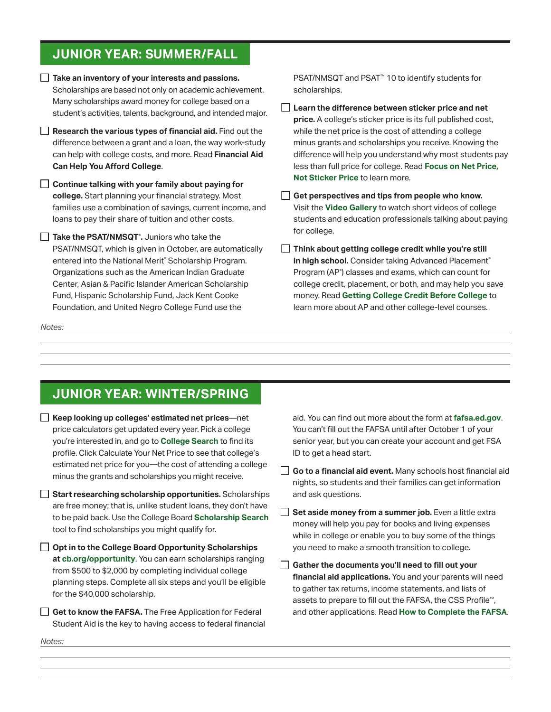### **JUNIOR YEAR: SUMMER/FALL**

- **Take an inventory of your interests and passions.** Scholarships are based not only on academic achievement. Many scholarships award money for college based on a student's activities, talents, background, and intended major.
- **Research the various types of financial aid.** Find out the difference between a grant and a loan, the way work-study can help with college costs, and more. Read **Financial Aid Can Help You Afford College**.
- **Continue talking with your family about paying for college.** Start planning your financial strategy. Most families use a combination of savings, current income, and loans to pay their share of tuition and other costs.
- **Take the PSAT/NMSQT**® **.** Juniors who take the PSAT/NMSQT, which is given in October, are automatically entered into the National Merit® Scholarship Program. Organizations such as the American Indian Graduate Center, Asian & Pacific Islander American Scholarship Fund, Hispanic Scholarship Fund, Jack Kent Cooke Foundation, and United Negro College Fund use the

*Notes:*

PSAT/NMSQT and PSAT™ 10 to identify students for scholarships.

- **Learn the difference between sticker price and net price.** A college's sticker price is its full published cost, while the net price is the cost of attending a college minus grants and scholarships you receive. Knowing the difference will help you understand why most students pay less than full price for college. Read **Focus on Net Price, Not Sticker Price** to learn more.
- **Get perspectives and tips from people who know.**  Visit the **Video Gallery** to watch short videos of college students and education professionals talking about paying for college.
- **Think about getting college credit while you're still in high school.** Consider taking Advanced Placement® Program (AP® ) classes and exams, which can count for college credit, placement, or both, and may help you save money. Read **Getting College Credit Before College** to learn more about AP and other college-level courses.

# **JUNIOR YEAR: WINTER/SPRING**

- **Keep looking up colleges' estimated net prices**—net price calculators get updated every year. Pick a college you're interested in, and go to **College Search** to find its profile. Click Calculate Your Net Price to see that college's estimated net price for you—the cost of attending a college minus the grants and scholarships you might receive.
- **Start researching scholarship opportunities.** Scholarships are free money; that is, unlike student loans, they don't have to be paid back. Use the College Board **Scholarship Search** tool to find scholarships you might qualify for.
- **Opt in to the College Board Opportunity Scholarships at cb.org/opportunity**. You can earn scholarships ranging from \$500 to \$2,000 by completing individual college planning steps. Complete all six steps and you'll be eligible for the \$40,000 scholarship.
- **Get to know the FAFSA.** The Free Application for Federal Student Aid is the key to having access to federal financial

aid. You can find out more about the form at **fafsa.ed.gov**. You can't fill out the FAFSA until after October 1 of your senior year, but you can create your account and get FSA ID to get a head start.

- **Go to a financial aid event.** Many schools host financial aid nights, so students and their families can get information and ask questions.
- $\Box$ **Set aside money from a summer job.** Even a little extra money will help you pay for books and living expenses while in college or enable you to buy some of the things you need to make a smooth transition to college.
- **Gather the documents you'll need to fill out your financial aid applications.** You and your parents will need to gather tax returns, income statements, and lists of assets to prepare to fill out the FAFSA, the CSS Profile™ , and other applications. Read **How to Complete the FAFSA**.

*Notes:*